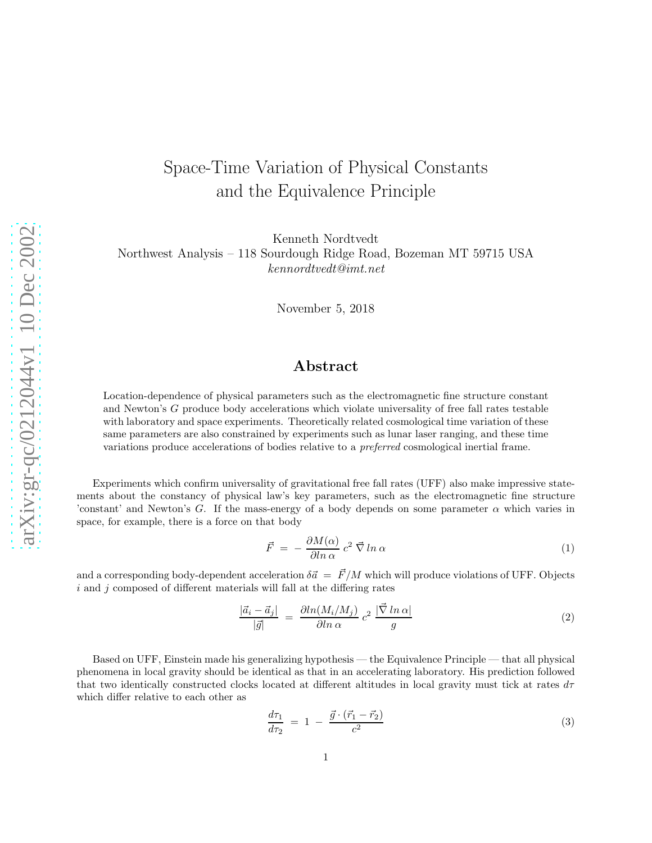## Space-Time Variation of Physical Constants and the Equivalence Principle

Kenneth Nordtvedt Northwest Analysis – 118 Sourdough Ridge Road, Bozeman MT 59715 USA kennordtvedt@imt.net

November 5, 2018

## Abstract

Location-dependence of physical parameters such as the electromagnetic fine structure constant and Newton's G produce body accelerations which violate universality of free fall rates testable with laboratory and space experiments. Theoretically related cosmological time variation of these same parameters are also constrained by experiments such as lunar laser ranging, and these time variations produce accelerations of bodies relative to a preferred cosmological inertial frame.

Experiments which confirm universality of gravitational free fall rates (UFF) also make impressive statements about the constancy of physical law's key parameters, such as the electromagnetic fine structure 'constant' and Newton's G. If the mass-energy of a body depends on some parameter  $\alpha$  which varies in space, for example, there is a force on that body

$$
\vec{F} = -\frac{\partial M(\alpha)}{\partial \ln \alpha} c^2 \vec{\nabla} \ln \alpha \tag{1}
$$

and a corresponding body-dependent acceleration  $\delta \vec{a} = \vec{F}/M$  which will produce violations of UFF. Objects  $i$  and  $j$  composed of different materials will fall at the differing rates

$$
\frac{|\vec{a}_i - \vec{a}_j|}{|\vec{g}|} = \frac{\partial \ln(M_i/M_j)}{\partial \ln \alpha} c^2 \frac{|\vec{\nabla} \ln \alpha|}{g}
$$
(2)

Based on UFF, Einstein made his generalizing hypothesis — the Equivalence Principle — that all physical phenomena in local gravity should be identical as that in an accelerating laboratory. His prediction followed that two identically constructed clocks located at different altitudes in local gravity must tick at rates  $d\tau$ which differ relative to each other as

$$
\frac{d\tau_1}{d\tau_2} = 1 - \frac{\vec{g} \cdot (\vec{r}_1 - \vec{r}_2)}{c^2} \tag{3}
$$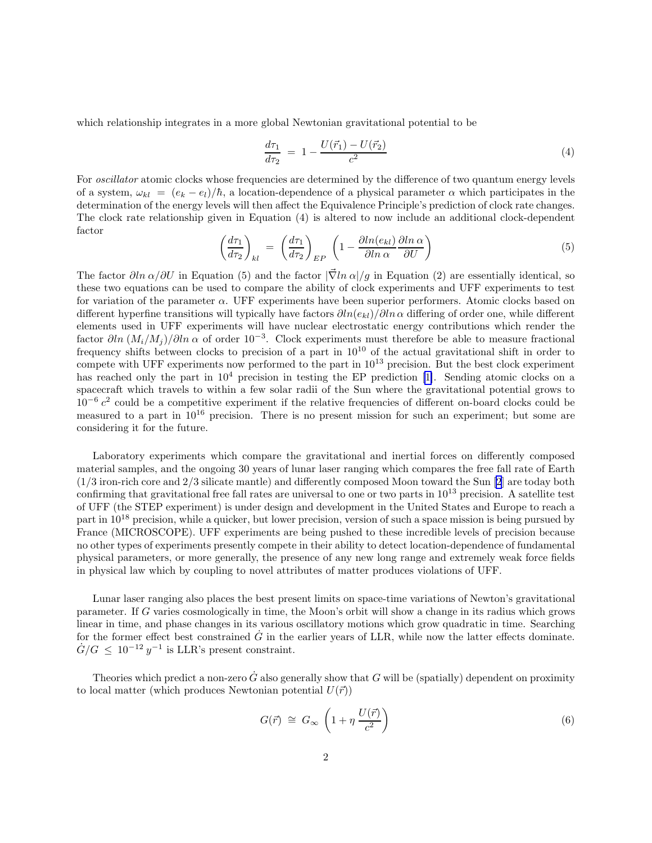which relationship integrates in a more global Newtonian gravitational potential to be

$$
\frac{d\tau_1}{d\tau_2} = 1 - \frac{U(\vec{r}_1) - U(\vec{r}_2)}{c^2} \tag{4}
$$

For *oscillator* atomic clocks whose frequencies are determined by the difference of two quantum energy levels of a system,  $\omega_{kl} = (e_k - e_l)/\hbar$ , a location-dependence of a physical parameter  $\alpha$  which participates in the determination of the energy levels will then affect the Equivalence Principle's prediction of clock rate changes. The clock rate relationship given in Equation (4) is altered to now include an additional clock-dependent factor

$$
\left(\frac{d\tau_1}{d\tau_2}\right)_{kl} = \left(\frac{d\tau_1}{d\tau_2}\right)_{EP} \left(1 - \frac{\partial \ln(e_{kl})}{\partial \ln \alpha} \frac{\partial \ln \alpha}{\partial U}\right)
$$
\n(5)

The factor  $\partial \ln \alpha / \partial U$  in Equation (5) and the factor  $|\vec{\nabla} \ln \alpha|/g$  in Equation (2) are essentially identical, so these two equations can be used to compare the ability of clock experiments and UFF experiments to test for variation of the parameter  $\alpha$ . UFF experiments have been superior performers. Atomic clocks based on different hyperfine transitions will typically have factors  $\partial ln(e_{kl})/\partial ln \alpha$  differing of order one, while different elements used in UFF experiments will have nuclear electrostatic energy contributions which render the factor  $\partial ln (M_i/M_j)/\partial ln \alpha$  of order 10<sup>-3</sup>. Clock experiments must therefore be able to measure fractional frequency shifts between clocks to precision of a part in  $10^{10}$  of the actual gravitational shift in order to compete with UFF experiments now performed to the part in  $10^{13}$  precision. But the best clock experiment has reached only the part in  $10^4$  precision in testing the EP prediction [\[1\]](#page-4-0). Sending atomic clocks on a spacecraft which travels to within a few solar radii of the Sun where the gravitational potential grows to  $10^{-6}$  c<sup>2</sup> could be a competitive experiment if the relative frequencies of different on-board clocks could be measured to a part in 10<sup>16</sup> precision. There is no present mission for such an experiment; but some are considering it for the future.

Laboratory experiments which compare the gravitational and inertial forces on differently composed material samples, and the ongoing 30 years of lunar laser ranging which compares the free fall rate of Earth (1/3 iron-rich core and 2/3 silicate mantle) and differently composed Moon toward the Sun [\[2](#page-4-0)] are today both confirming that gravitational free fall rates are universal to one or two parts in  $10^{13}$  precision. A satellite test of UFF (the STEP experiment) is under design and development in the United States and Europe to reach a part in  $10^{18}$  precision, while a quicker, but lower precision, version of such a space mission is being pursued by France (MICROSCOPE). UFF experiments are being pushed to these incredible levels of precision because no other types of experiments presently compete in their ability to detect location-dependence of fundamental physical parameters, or more generally, the presence of any new long range and extremely weak force fields in physical law which by coupling to novel attributes of matter produces violations of UFF.

Lunar laser ranging also places the best present limits on space-time variations of Newton's gravitational parameter. If G varies cosmologically in time, the Moon's orbit will show a change in its radius which grows linear in time, and phase changes in its various oscillatory motions which grow quadratic in time. Searching for the former effect best constrained  $\dot{G}$  in the earlier years of LLR, while now the latter effects dominate.  $\dot{G}/G \leq 10^{-12} y^{-1}$  is LLR's present constraint.

Theories which predict a non-zero  $\tilde{G}$  also generally show that G will be (spatially) dependent on proximity to local matter (which produces Newtonian potential  $U(\vec{r})$ )

$$
G(\vec{r}) \cong G_{\infty} \left( 1 + \eta \, \frac{U(\vec{r})}{c^2} \right) \tag{6}
$$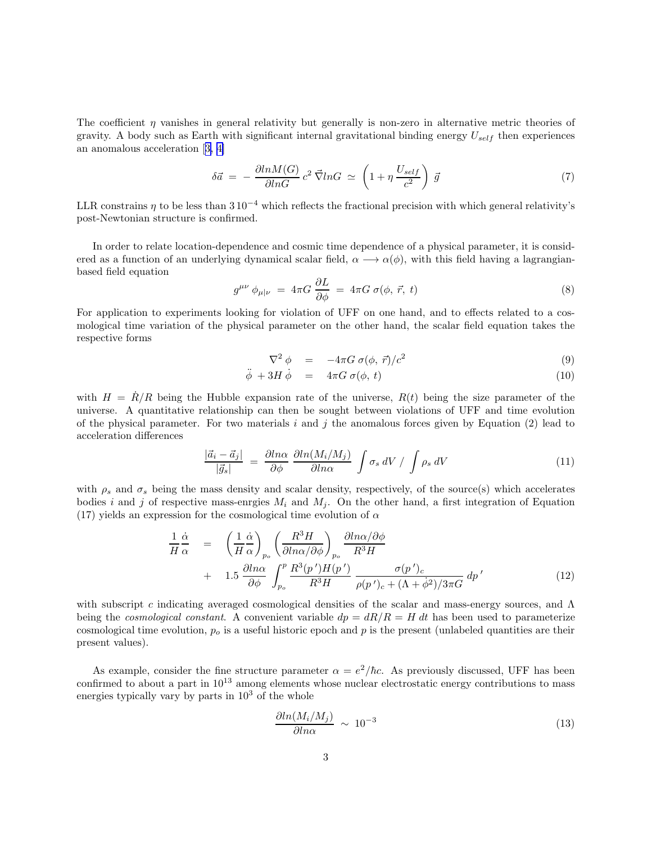The coefficient  $\eta$  vanishes in general relativity but generally is non-zero in alternative metric theories of gravity. A body such as Earth with significant internal gravitational binding energy  $U_{self}$  then experiences an anomalous acceleration[[3, 4\]](#page-4-0)

$$
\delta \vec{a} = -\frac{\partial ln M(G)}{\partial ln G} c^2 \vec{\nabla} ln G \simeq \left(1 + \eta \frac{U_{self}}{c^2}\right) \vec{g}
$$
\n<sup>(7)</sup>

LLR constrains  $\eta$  to be less than 3 10<sup>-4</sup> which reflects the fractional precision with which general relativity's post-Newtonian structure is confirmed.

In order to relate location-dependence and cosmic time dependence of a physical parameter, it is considered as a function of an underlying dynamical scalar field,  $\alpha \rightarrow \alpha(\phi)$ , with this field having a lagrangianbased field equation

$$
g^{\mu\nu} \phi_{\mu|\nu} = 4\pi G \frac{\partial L}{\partial \phi} = 4\pi G \sigma(\phi, \vec{r}, t)
$$
\n(8)

For application to experiments looking for violation of UFF on one hand, and to effects related to a cosmological time variation of the physical parameter on the other hand, the scalar field equation takes the respective forms

$$
\nabla^2 \phi = -4\pi G \sigma(\phi, \vec{r})/c^2 \tag{9}
$$

$$
\ddot{\phi} + 3H \dot{\phi} = 4\pi G \sigma(\phi, t) \tag{10}
$$

with  $H = R/R$  being the Hubble expansion rate of the universe,  $R(t)$  being the size parameter of the universe. A quantitative relationship can then be sought between violations of UFF and time evolution of the physical parameter. For two materials i and j the anomalous forces given by Equation  $(2)$  lead to acceleration differences

$$
\frac{|\vec{a}_i - \vec{a}_j|}{|\vec{g}_s|} = \frac{\partial \ln \alpha}{\partial \phi} \frac{\partial \ln(M_i/M_j)}{\partial \ln \alpha} \int \sigma_s \, dV \, / \, \int \rho_s \, dV \tag{11}
$$

with  $\rho_s$  and  $\sigma_s$  being the mass density and scalar density, respectively, of the source(s) which accelerates bodies i and j of respective mass-enrgies  $M_i$  and  $M_j$ . On the other hand, a first integration of Equation (17) yields an expression for the cosmological time evolution of  $\alpha$ 

$$
\frac{1}{H} \frac{\dot{\alpha}}{\alpha} = \left(\frac{1}{H} \frac{\dot{\alpha}}{\alpha}\right)_{p_o} \left(\frac{R^3 H}{\partial \ln \alpha / \partial \phi}\right)_{p_o} \frac{\partial \ln \alpha / \partial \phi}{R^3 H} \n+ 1.5 \frac{\partial \ln \alpha}{\partial \phi} \int_{p_o}^p \frac{R^3(p')H(p')}{R^3 H} \frac{\sigma(p')_c}{\rho(p')_c + (\Lambda + \dot{\phi}^2)/3\pi G} dp' \tag{12}
$$

with subscript c indicating averaged cosmological densities of the scalar and mass-energy sources, and  $\Lambda$ being the *cosmological constant*. A convenient variable  $dp = dR/R = H dt$  has been used to parameterize cosmological time evolution,  $p<sub>o</sub>$  is a useful historic epoch and p is the present (unlabeled quantities are their present values).

As example, consider the fine structure parameter  $\alpha = e^2/\hbar c$ . As previously discussed, UFF has been confirmed to about a part in  $10^{13}$  among elements whose nuclear electrostatic energy contributions to mass energies typically vary by parts in  $10<sup>3</sup>$  of the whole

$$
\frac{\partial \ln(M_i/M_j)}{\partial \ln \alpha} \sim 10^{-3} \tag{13}
$$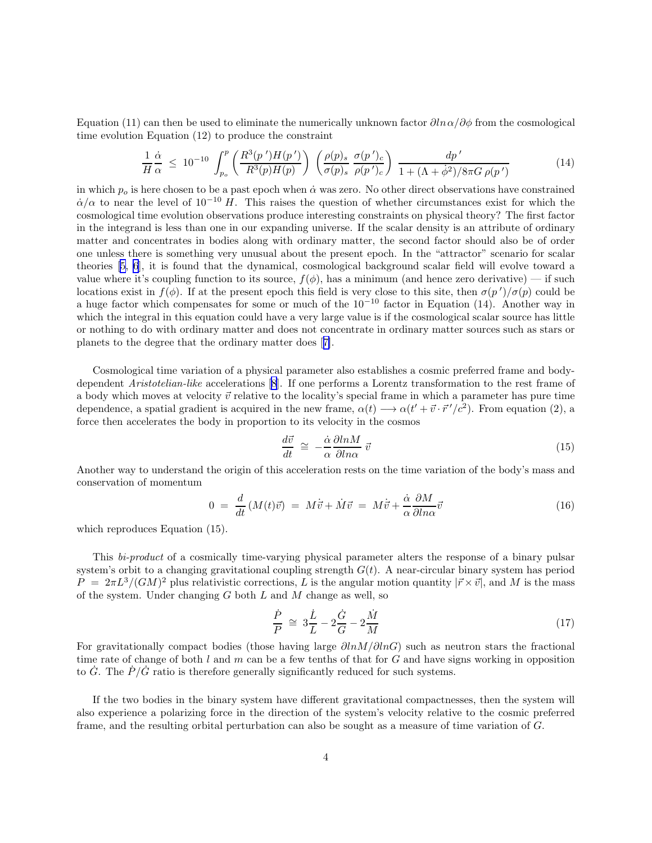Equation (11) can then be used to eliminate the numerically unknown factor  $\partial \ln \alpha / \partial \phi$  from the cosmological time evolution Equation (12) to produce the constraint

$$
\frac{1}{H}\frac{\dot{\alpha}}{\alpha} \leq 10^{-10} \int_{p_o}^p \left( \frac{R^3(p')H(p')}{R^3(p)H(p)} \right) \left( \frac{\rho(p)_s}{\sigma(p)_s} \frac{\sigma(p')_c}{\rho(p')_c} \right) \frac{dp'}{1 + (\Lambda + \dot{\phi}^2)/8\pi G \rho(p')}
$$
\n(14)

in which  $p<sub>o</sub>$  is here chosen to be a past epoch when  $\dot{\alpha}$  was zero. No other direct observations have constrained  $\dot{\alpha}/\alpha$  to near the level of 10<sup>-10</sup> H. This raises the question of whether circumstances exist for which the cosmological time evolution observations produce interesting constraints on physical theory? The first factor in the integrand is less than one in our expanding universe. If the scalar density is an attribute of ordinary matter and concentrates in bodies along with ordinary matter, the second factor should also be of order one unless there is something very unusual about the present epoch. In the "attractor" scenario for scalar theories [\[5, 6](#page-4-0)], it is found that the dynamical, cosmological background scalar field will evolve toward a value where it's coupling function to its source,  $f(\phi)$ , has a minimum (and hence zero derivative) — if such locations exist in  $f(\phi)$ . If at the present epoch this field is very close to this site, then  $\sigma(p')/\sigma(p)$  could be a huge factor which compensates for some or much of the 10<sup>−</sup><sup>10</sup> factor in Equation (14). Another way in which the integral in this equation could have a very large value is if the cosmological scalar source has little or nothing to do with ordinary matter and does not concentrate in ordinary matter sources such as stars or planets to the degree that the ordinary matter does[[7\]](#page-4-0).

Cosmological time variation of a physical parameter also establishes a cosmic preferred frame and bodydependent Aristotelian-like accelerations[[8](#page-4-0)]. If one performs a Lorentz transformation to the rest frame of a body which moves at velocity  $\vec{v}$  relative to the locality's special frame in which a parameter has pure time dependence, a spatial gradient is acquired in the new frame,  $\alpha(t) \rightarrow \alpha(t'+\vec{v}\cdot\vec{r}'/c^2)$ . From equation (2), a force then accelerates the body in proportion to its velocity in the cosmos

$$
\frac{d\vec{v}}{dt} \cong -\frac{\dot{\alpha}}{\alpha} \frac{\partial \ln M}{\partial \ln \alpha} \ \vec{v} \tag{15}
$$

Another way to understand the origin of this acceleration rests on the time variation of the body's mass and conservation of momentum

$$
0 = \frac{d}{dt}(M(t)\vec{v}) = M\dot{\vec{v}} + \dot{M}\vec{v} = M\dot{\vec{v}} + \frac{\dot{\alpha}}{\alpha}\frac{\partial M}{\partial \ln \alpha}\vec{v}
$$
(16)

which reproduces Equation  $(15)$ .

This bi-product of a cosmically time-varying physical parameter alters the response of a binary pulsar system's orbit to a changing gravitational coupling strength  $G(t)$ . A near-circular binary system has period  $\tilde{P} = 2\pi L^3/(GM)^2$  plus relativistic corrections, L is the angular motion quantity  $|\vec{r} \times \vec{v}|$ , and M is the mass of the system. Under changing  $G$  both  $L$  and  $M$  change as well, so

$$
\frac{\dot{P}}{P} \cong 3\frac{\dot{L}}{L} - 2\frac{\dot{G}}{G} - 2\frac{\dot{M}}{M}
$$
\n(17)

For gravitationally compact bodies (those having large  $\partial ln M/\partial lnG$ ) such as neutron stars the fractional time rate of change of both l and m can be a few tenths of that for G and have signs working in opposition to  $\dot{G}$ . The  $\dot{P}/\dot{G}$  ratio is therefore generally significantly reduced for such systems.

If the two bodies in the binary system have different gravitational compactnesses, then the system will also experience a polarizing force in the direction of the system's velocity relative to the cosmic preferred frame, and the resulting orbital perturbation can also be sought as a measure of time variation of G.